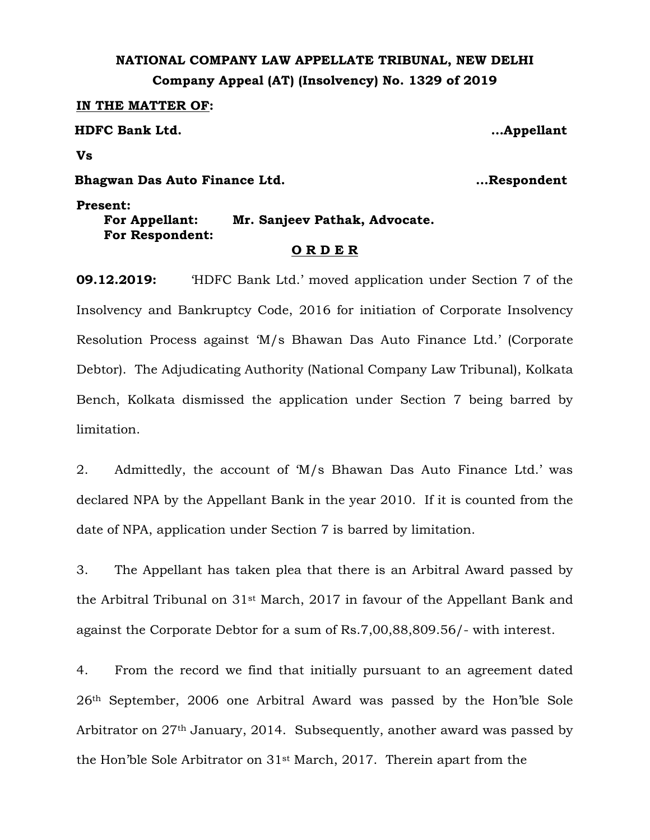## **NATIONAL COMPANY LAW APPELLATE TRIBUNAL, NEW DELHI Company Appeal (AT) (Insolvency) No. 1329 of 2019**

**IN THE MATTER OF:**

**HDFC Bank Ltd. …Appellant**

**Vs**

**Bhagwan Das Auto Finance Ltd. …Respondent**

**Present: For Appellant: Mr. Sanjeev Pathak, Advocate. For Respondent:**

## **O R D E R**

**09.12.2019:** 'HDFC Bank Ltd.' moved application under Section 7 of the Insolvency and Bankruptcy Code, 2016 for initiation of Corporate Insolvency Resolution Process against 'M/s Bhawan Das Auto Finance Ltd.' (Corporate Debtor). The Adjudicating Authority (National Company Law Tribunal), Kolkata Bench, Kolkata dismissed the application under Section 7 being barred by limitation.

2. Admittedly, the account of 'M/s Bhawan Das Auto Finance Ltd.' was declared NPA by the Appellant Bank in the year 2010. If it is counted from the date of NPA, application under Section 7 is barred by limitation.

3. The Appellant has taken plea that there is an Arbitral Award passed by the Arbitral Tribunal on 31st March, 2017 in favour of the Appellant Bank and against the Corporate Debtor for a sum of Rs.7,00,88,809.56/- with interest.

4. From the record we find that initially pursuant to an agreement dated 26th September, 2006 one Arbitral Award was passed by the Hon'ble Sole Arbitrator on 27<sup>th</sup> January, 2014. Subsequently, another award was passed by the Hon'ble Sole Arbitrator on 31st March, 2017. Therein apart from the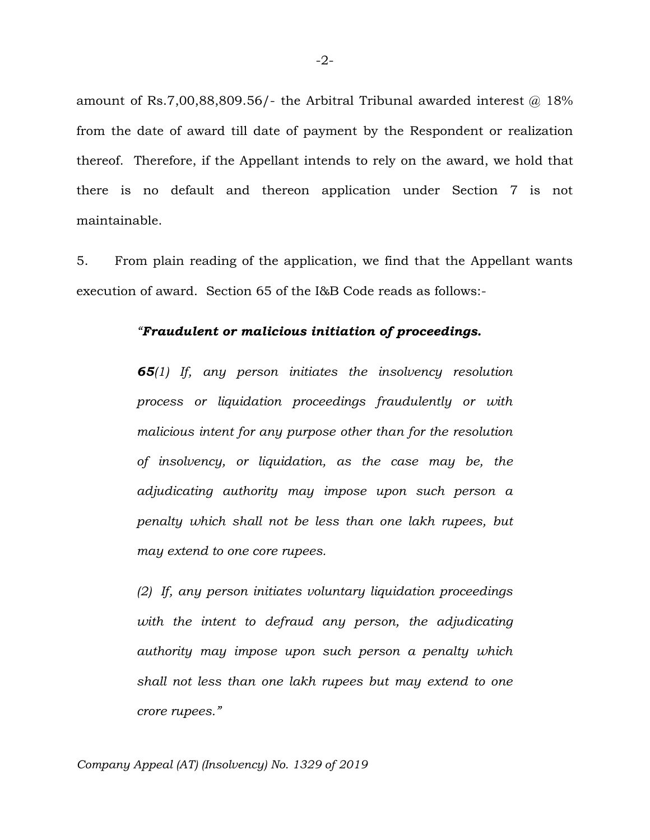amount of Rs.7,00,88,809.56/- the Arbitral Tribunal awarded interest  $@$  18% from the date of award till date of payment by the Respondent or realization thereof. Therefore, if the Appellant intends to rely on the award, we hold that there is no default and thereon application under Section 7 is not maintainable.

5. From plain reading of the application, we find that the Appellant wants execution of award. Section 65 of the I&B Code reads as follows:-

## *"Fraudulent or malicious initiation of proceedings.*

*65(1) If, any person initiates the insolvency resolution process or liquidation proceedings fraudulently or with malicious intent for any purpose other than for the resolution of insolvency, or liquidation, as the case may be, the adjudicating authority may impose upon such person a penalty which shall not be less than one lakh rupees, but may extend to one core rupees.*

*(2) If, any person initiates voluntary liquidation proceedings*  with the intent to defraud any person, the adjudicating *authority may impose upon such person a penalty which shall not less than one lakh rupees but may extend to one crore rupees."*